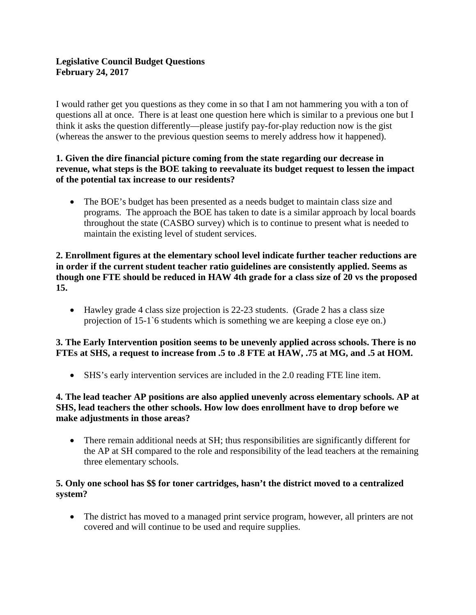# **Legislative Council Budget Questions February 24, 2017**

I would rather get you questions as they come in so that I am not hammering you with a ton of questions all at once. There is at least one question here which is similar to a previous one but I think it asks the question differently—please justify pay-for-play reduction now is the gist (whereas the answer to the previous question seems to merely address how it happened).

## **1. Given the dire financial picture coming from the state regarding our decrease in revenue, what steps is the BOE taking to reevaluate its budget request to lessen the impact of the potential tax increase to our residents?**

• The BOE's budget has been presented as a needs budget to maintain class size and programs. The approach the BOE has taken to date is a similar approach by local boards throughout the state (CASBO survey) which is to continue to present what is needed to maintain the existing level of student services.

#### **2. Enrollment figures at the elementary school level indicate further teacher reductions are in order if the current student teacher ratio guidelines are consistently applied. Seems as though one FTE should be reduced in HAW 4th grade for a class size of 20 vs the proposed 15.**

• Hawley grade 4 class size projection is 22-23 students. (Grade 2 has a class size projection of 15-1`6 students which is something we are keeping a close eye on.)

## **3. The Early Intervention position seems to be unevenly applied across schools. There is no FTEs at SHS, a request to increase from .5 to .8 FTE at HAW, .75 at MG, and .5 at HOM.**

• SHS's early intervention services are included in the 2.0 reading FTE line item.

## **4. The lead teacher AP positions are also applied unevenly across elementary schools. AP at SHS, lead teachers the other schools. How low does enrollment have to drop before we make adjustments in those areas?**

• There remain additional needs at SH; thus responsibilities are significantly different for the AP at SH compared to the role and responsibility of the lead teachers at the remaining three elementary schools.

## **5. Only one school has \$\$ for toner cartridges, hasn't the district moved to a centralized system?**

• The district has moved to a managed print service program, however, all printers are not covered and will continue to be used and require supplies.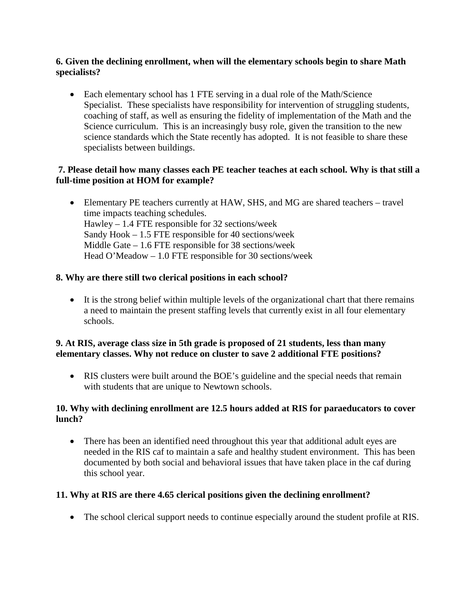#### **6. Given the declining enrollment, when will the elementary schools begin to share Math specialists?**

• Each elementary school has 1 FTE serving in a dual role of the Math/Science Specialist. These specialists have responsibility for intervention of struggling students, coaching of staff, as well as ensuring the fidelity of implementation of the Math and the Science curriculum. This is an increasingly busy role, given the transition to the new science standards which the State recently has adopted. It is not feasible to share these specialists between buildings.

## **7. Please detail how many classes each PE teacher teaches at each school. Why is that still a full-time position at HOM for example?**

• Elementary PE teachers currently at HAW, SHS, and MG are shared teachers – travel time impacts teaching schedules. Hawley – 1.4 FTE responsible for 32 sections/week Sandy Hook – 1.5 FTE responsible for 40 sections/week Middle Gate – 1.6 FTE responsible for 38 sections/week Head O'Meadow – 1.0 FTE responsible for 30 sections/week

## **8. Why are there still two clerical positions in each school?**

• It is the strong belief within multiple levels of the organizational chart that there remains a need to maintain the present staffing levels that currently exist in all four elementary schools.

#### **9. At RIS, average class size in 5th grade is proposed of 21 students, less than many elementary classes. Why not reduce on cluster to save 2 additional FTE positions?**

• RIS clusters were built around the BOE's guideline and the special needs that remain with students that are unique to Newtown schools.

## **10. Why with declining enrollment are 12.5 hours added at RIS for paraeducators to cover lunch?**

• There has been an identified need throughout this year that additional adult eyes are needed in the RIS caf to maintain a safe and healthy student environment. This has been documented by both social and behavioral issues that have taken place in the caf during this school year.

## **11. Why at RIS are there 4.65 clerical positions given the declining enrollment?**

• The school clerical support needs to continue especially around the student profile at RIS.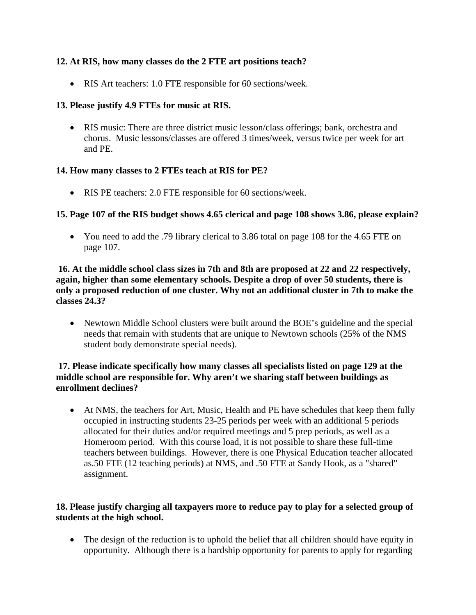## **12. At RIS, how many classes do the 2 FTE art positions teach?**

• RIS Art teachers: 1.0 FTE responsible for 60 sections/week.

## **13. Please justify 4.9 FTEs for music at RIS.**

• RIS music: There are three district music lesson/class offerings; bank, orchestra and chorus. Music lessons/classes are offered 3 times/week, versus twice per week for art and PE.

# **14. How many classes to 2 FTEs teach at RIS for PE?**

• RIS PE teachers: 2.0 FTE responsible for 60 sections/week.

# **15. Page 107 of the RIS budget shows 4.65 clerical and page 108 shows 3.86, please explain?**

• You need to add the .79 library clerical to 3.86 total on page 108 for the 4.65 FTE on page 107.

#### **16. At the middle school class sizes in 7th and 8th are proposed at 22 and 22 respectively, again, higher than some elementary schools. Despite a drop of over 50 students, there is only a proposed reduction of one cluster. Why not an additional cluster in 7th to make the classes 24.3?**

• Newtown Middle School clusters were built around the BOE's guideline and the special needs that remain with students that are unique to Newtown schools (25% of the NMS student body demonstrate special needs).

## **17. Please indicate specifically how many classes all specialists listed on page 129 at the middle school are responsible for. Why aren't we sharing staff between buildings as enrollment declines?**

• At NMS, the teachers for Art, Music, Health and PE have schedules that keep them fully occupied in instructing students 23-25 periods per week with an additional 5 periods allocated for their duties and/or required meetings and 5 prep periods, as well as a Homeroom period. With this course load, it is not possible to share these full-time teachers between buildings. However, there is one Physical Education teacher allocated as.50 FTE (12 teaching periods) at NMS, and .50 FTE at Sandy Hook, as a "shared" assignment.

# **18. Please justify charging all taxpayers more to reduce pay to play for a selected group of students at the high school.**

• The design of the reduction is to uphold the belief that all children should have equity in opportunity. Although there is a hardship opportunity for parents to apply for regarding